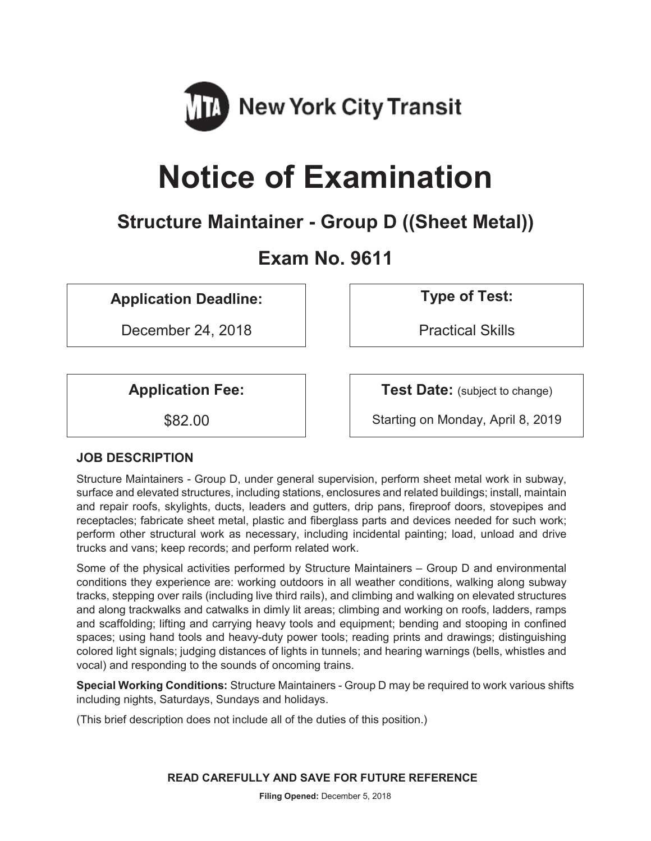

# **Notice of Examination**

# **Structure Maintainer - Group D ((Sheet Metal))**

# **Exam No. 9611**

**Application Deadline: Type of Test:** 

December 24, 2018 | Practical Skills

**Application Fee:**  $\vert$  **Test Date:** (subject to change)

\$82.00 Starting on Monday, April 8, 2019

# **JOB DESCRIPTION**

Structure Maintainers - Group D, under general supervision, perform sheet metal work in subway, surface and elevated structures, including stations, enclosures and related buildings; install, maintain and repair roofs, skylights, ducts, leaders and gutters, drip pans, fireproof doors, stovepipes and receptacles; fabricate sheet metal, plastic and fiberglass parts and devices needed for such work; perform other structural work as necessary, including incidental painting; load, unload and drive trucks and vans; keep records; and perform related work.

Some of the physical activities performed by Structure Maintainers – Group D and environmental conditions they experience are: working outdoors in all weather conditions, walking along subway tracks, stepping over rails (including live third rails), and climbing and walking on elevated structures and along trackwalks and catwalks in dimly lit areas; climbing and working on roofs, ladders, ramps and scaffolding; lifting and carrying heavy tools and equipment; bending and stooping in confined spaces; using hand tools and heavy-duty power tools; reading prints and drawings; distinguishing colored light signals; judging distances of lights in tunnels; and hearing warnings (bells, whistles and vocal) and responding to the sounds of oncoming trains.

**Special Working Conditions:** Structure Maintainers - Group D may be required to work various shifts including nights, Saturdays, Sundays and holidays.

(This brief description does not include all of the duties of this position.)

**READ CAREFULLY AND SAVE FOR FUTURE REFERENCE**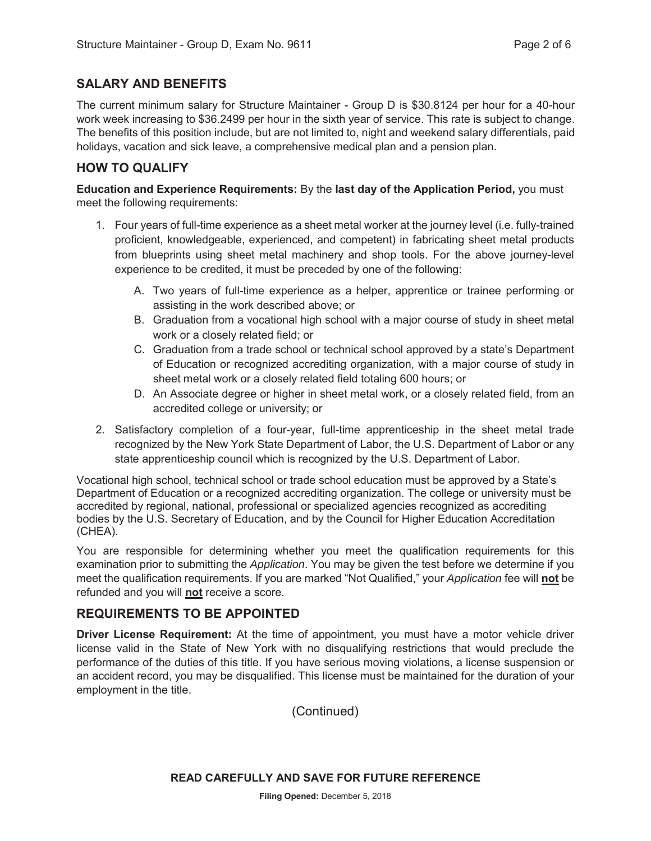# **SALARY AND BENEFITS**

The current minimum salary for Structure Maintainer - Group D is \$30.8124 per hour for a 40-hour work week increasing to \$36.2499 per hour in the sixth year of service. This rate is subject to change. The benefits of this position include, but are not limited to, night and weekend salary differentials, paid holidays, vacation and sick leave, a comprehensive medical plan and a pension plan.

# **HOW TO QUALIFY**

**Education and Experience Requirements:** By the **last day of the Application Period,** you must meet the following requirements:

- 1. Four years of full-time experience as a sheet metal worker at the journey level (i.e. fully-trained proficient, knowledgeable, experienced, and competent) in fabricating sheet metal products from blueprints using sheet metal machinery and shop tools. For the above journey-level experience to be credited, it must be preceded by one of the following:
	- A. Two years of full-time experience as a helper, apprentice or trainee performing or assisting in the work described above; or
	- B. Graduation from a vocational high school with a major course of study in sheet metal work or a closely related field; or
	- C. Graduation from a trade school or technical school approved by a state's Department of Education or recognized accrediting organization, with a major course of study in sheet metal work or a closely related field totaling 600 hours; or
	- D. An Associate degree or higher in sheet metal work, or a closely related field, from an accredited college or university; or
- 2. Satisfactory completion of a four-year, full-time apprenticeship in the sheet metal trade recognized by the New York State Department of Labor, the U.S. Department of Labor or any state apprenticeship council which is recognized by the U.S. Department of Labor.

Vocational high school, technical school or trade school education must be approved by a State's Department of Education or a recognized accrediting organization. The college or university must be accredited by regional, national, professional or specialized agencies recognized as accrediting bodies by the U.S. Secretary of Education, and by the Council for Higher Education Accreditation (CHEA).

You are responsible for determining whether you meet the qualification requirements for this examination prior to submitting the *Application*. You may be given the test before we determine if you meet the qualification requirements. If you are marked "Not Qualified," your *Application* fee will **not** be refunded and you will **not** receive a score.

# **REQUIREMENTS TO BE APPOINTED**

**Driver License Requirement:** At the time of appointment, you must have a motor vehicle driver license valid in the State of New York with no disqualifying restrictions that would preclude the performance of the duties of this title. If you have serious moving violations, a license suspension or an accident record, you may be disqualified. This license must be maintained for the duration of your employment in the title.

(Continued)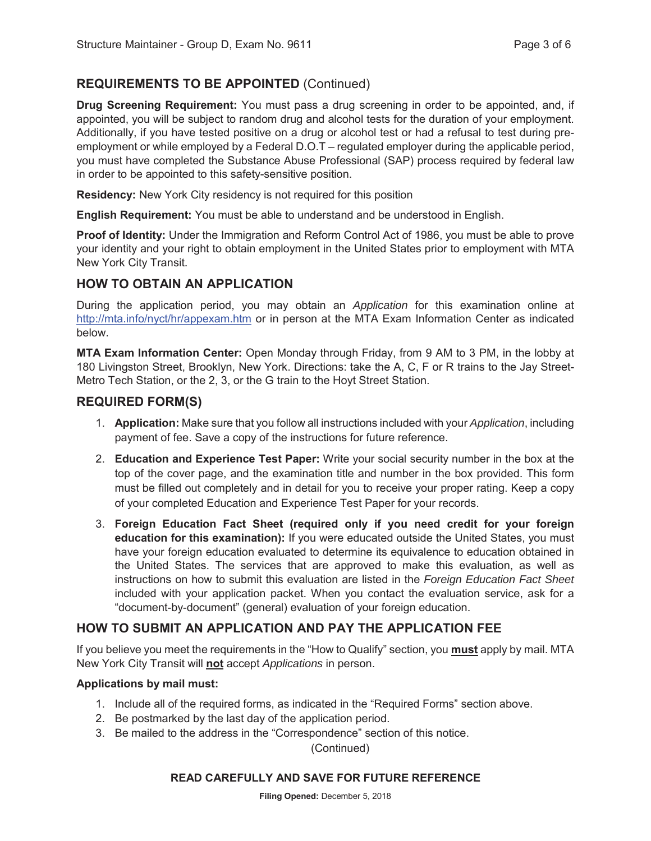# **REQUIREMENTS TO BE APPOINTED** (Continued)

**Drug Screening Requirement:** You must pass a drug screening in order to be appointed, and, if appointed, you will be subject to random drug and alcohol tests for the duration of your employment. Additionally, if you have tested positive on a drug or alcohol test or had a refusal to test during preemployment or while employed by a Federal D.O.T – regulated employer during the applicable period, you must have completed the Substance Abuse Professional (SAP) process required by federal law in order to be appointed to this safety-sensitive position.

**Residency:** New York City residency is not required for this position

**English Requirement:** You must be able to understand and be understood in English.

**Proof of Identity:** Under the Immigration and Reform Control Act of 1986, you must be able to prove your identity and your right to obtain employment in the United States prior to employment with MTA New York City Transit.

# **HOW TO OBTAIN AN APPLICATION**

During the application period, you may obtain an *Application* for this examination online at http://mta.info/nyct/hr/appexam.htm or in person at the MTA Exam Information Center as indicated below.

**MTA Exam Information Center:** Open Monday through Friday, from 9 AM to 3 PM, in the lobby at 180 Livingston Street, Brooklyn, New York. Directions: take the A, C, F or R trains to the Jay Street-Metro Tech Station, or the 2, 3, or the G train to the Hoyt Street Station.

# **REQUIRED FORM(S)**

- 1. **Application:** Make sure that you follow all instructions included with your *Application*, including payment of fee. Save a copy of the instructions for future reference.
- 2. **Education and Experience Test Paper:** Write your social security number in the box at the top of the cover page, and the examination title and number in the box provided. This form must be filled out completely and in detail for you to receive your proper rating. Keep a copy of your completed Education and Experience Test Paper for your records.
- 3. **Foreign Education Fact Sheet (required only if you need credit for your foreign education for this examination):** If you were educated outside the United States, you must have your foreign education evaluated to determine its equivalence to education obtained in the United States. The services that are approved to make this evaluation, as well as instructions on how to submit this evaluation are listed in the *Foreign Education Fact Sheet* included with your application packet. When you contact the evaluation service, ask for a "document-by-document" (general) evaluation of your foreign education.

# **HOW TO SUBMIT AN APPLICATION AND PAY THE APPLICATION FEE**

If you believe you meet the requirements in the "How to Qualify" section, you **must** apply by mail. MTA New York City Transit will **not** accept *Applications* in person.

#### **Applications by mail must:**

- 1. Include all of the required forms, as indicated in the "Required Forms" section above.
- 2. Be postmarked by the last day of the application period.
- 3. Be mailed to the address in the "Correspondence" section of this notice.

(Continued)

#### **READ CAREFULLY AND SAVE FOR FUTURE REFERENCE**

**Filing Opened:** December 5, 2018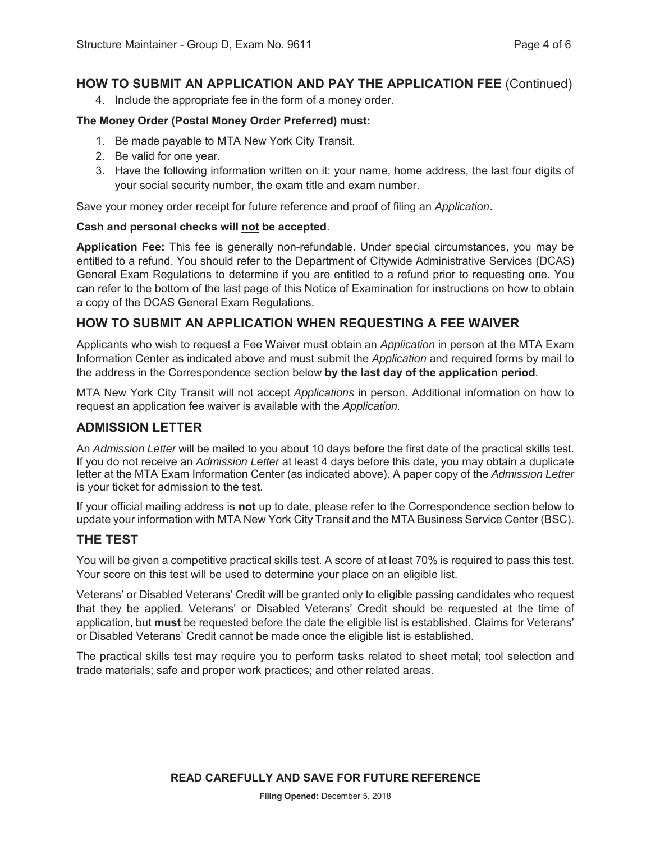# **HOW TO SUBMIT AN APPLICATION AND PAY THE APPLICATION FEE** (Continued)

4. Include the appropriate fee in the form of a money order.

#### **The Money Order (Postal Money Order Preferred) must:**

- 1. Be made payable to MTA New York City Transit.
- 2. Be valid for one year.
- 3. Have the following information written on it: your name, home address, the last four digits of your social security number, the exam title and exam number.

Save your money order receipt for future reference and proof of filing an *Application*.

#### **Cash and personal checks will not be accepted**.

**Application Fee:** This fee is generally non-refundable. Under special circumstances, you may be entitled to a refund. You should refer to the Department of Citywide Administrative Services (DCAS) General Exam Regulations to determine if you are entitled to a refund prior to requesting one. You can refer to the bottom of the last page of this Notice of Examination for instructions on how to obtain a copy of the DCAS General Exam Regulations.

# **HOW TO SUBMIT AN APPLICATION WHEN REQUESTING A FEE WAIVER**

Applicants who wish to request a Fee Waiver must obtain an *Application* in person at the MTA Exam Information Center as indicated above and must submit the *Application* and required forms by mail to the address in the Correspondence section below **by the last day of the application period**.

MTA New York City Transit will not accept *Applications* in person. Additional information on how to request an application fee waiver is available with the *Application.*

# **ADMISSION LETTER**

An *Admission Letter* will be mailed to you about 10 days before the first date of the practical skills test. If you do not receive an *Admission Letter* at least 4 days before this date, you may obtain a duplicate letter at the MTA Exam Information Center (as indicated above). A paper copy of the *Admission Letter* is your ticket for admission to the test.

If your official mailing address is **not** up to date, please refer to the Correspondence section below to update your information with MTA New York City Transit and the MTA Business Service Center (BSC).

# **THE TEST**

You will be given a competitive practical skills test. A score of at least 70% is required to pass this test. Your score on this test will be used to determine your place on an eligible list.

Veterans' or Disabled Veterans' Credit will be granted only to eligible passing candidates who request that they be applied. Veterans' or Disabled Veterans' Credit should be requested at the time of application, but **must** be requested before the date the eligible list is established. Claims for Veterans' or Disabled Veterans' Credit cannot be made once the eligible list is established.

The practical skills test may require you to perform tasks related to sheet metal; tool selection and trade materials; safe and proper work practices; and other related areas.

**READ CAREFULLY AND SAVE FOR FUTURE REFERENCE**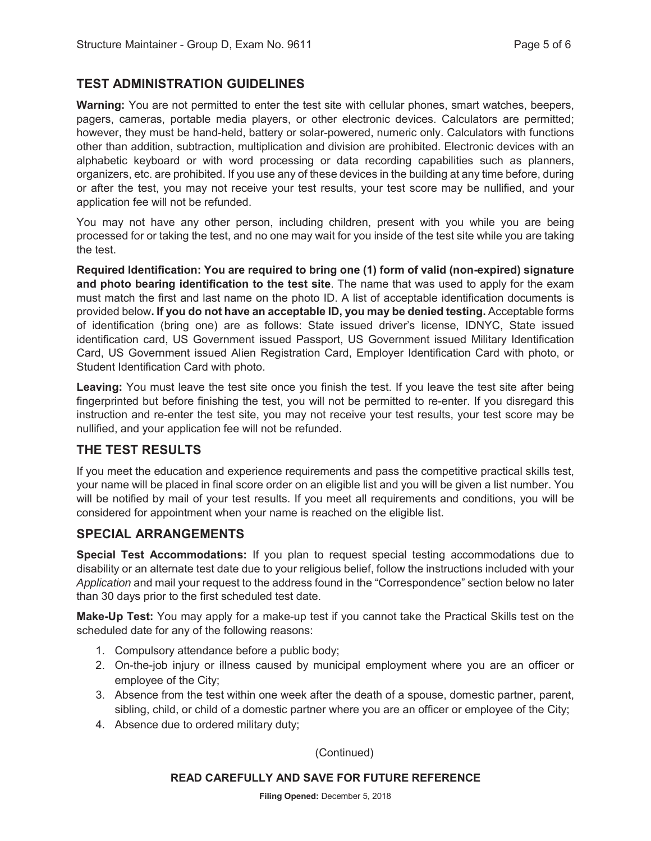# **TEST ADMINISTRATION GUIDELINES**

**Warning:** You are not permitted to enter the test site with cellular phones, smart watches, beepers, pagers, cameras, portable media players, or other electronic devices. Calculators are permitted; however, they must be hand-held, battery or solar-powered, numeric only. Calculators with functions other than addition, subtraction, multiplication and division are prohibited. Electronic devices with an alphabetic keyboard or with word processing or data recording capabilities such as planners, organizers, etc. are prohibited. If you use any of these devices in the building at any time before, during or after the test, you may not receive your test results, your test score may be nullified, and your application fee will not be refunded.

You may not have any other person, including children, present with you while you are being processed for or taking the test, and no one may wait for you inside of the test site while you are taking the test.

**Required Identification: You are required to bring one (1) form of valid (non-expired) signature and photo bearing identification to the test site**. The name that was used to apply for the exam must match the first and last name on the photo ID. A list of acceptable identification documents is provided below**. If you do not have an acceptable ID, you may be denied testing.** Acceptable forms of identification (bring one) are as follows: State issued driver's license, IDNYC, State issued identification card, US Government issued Passport, US Government issued Military Identification Card, US Government issued Alien Registration Card, Employer Identification Card with photo, or Student Identification Card with photo.

**Leaving:** You must leave the test site once you finish the test. If you leave the test site after being fingerprinted but before finishing the test, you will not be permitted to re-enter. If you disregard this instruction and re-enter the test site, you may not receive your test results, your test score may be nullified, and your application fee will not be refunded.

# **THE TEST RESULTS**

If you meet the education and experience requirements and pass the competitive practical skills test, your name will be placed in final score order on an eligible list and you will be given a list number. You will be notified by mail of your test results. If you meet all requirements and conditions, you will be considered for appointment when your name is reached on the eligible list.

# **SPECIAL ARRANGEMENTS**

**Special Test Accommodations:** If you plan to request special testing accommodations due to disability or an alternate test date due to your religious belief, follow the instructions included with your *Application* and mail your request to the address found in the "Correspondence" section below no later than 30 days prior to the first scheduled test date.

**Make-Up Test:** You may apply for a make-up test if you cannot take the Practical Skills test on the scheduled date for any of the following reasons:

- 1. Compulsory attendance before a public body;
- 2. On-the-job injury or illness caused by municipal employment where you are an officer or employee of the City;
- 3. Absence from the test within one week after the death of a spouse, domestic partner, parent, sibling, child, or child of a domestic partner where you are an officer or employee of the City;
- 4. Absence due to ordered military duty;

(Continued)

#### **READ CAREFULLY AND SAVE FOR FUTURE REFERENCE**